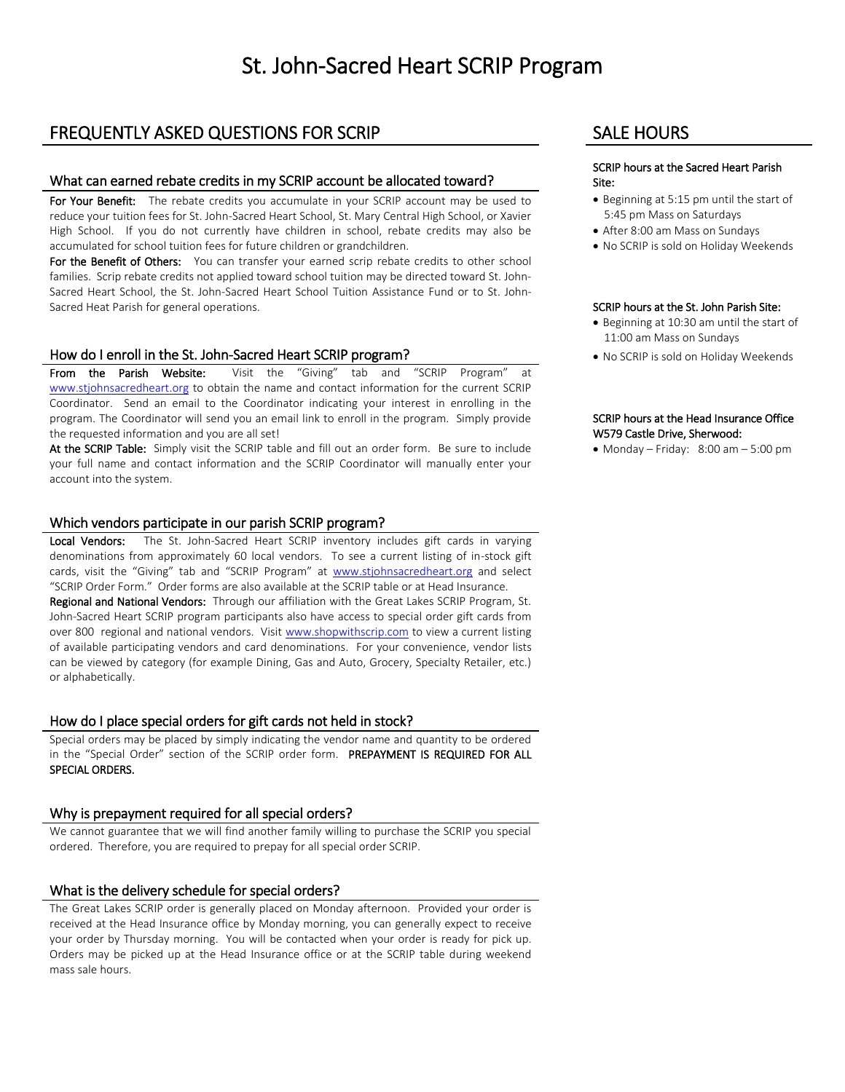# FREQUENTLY ASKED QUESTIONS FOR SCRIP

## What can earned rebate credits in my SCRIP account be allocated toward?

For Your Benefit: The rebate credits you accumulate in your SCRIP account may be used to reduce your tuition fees for St. John-Sacred Heart School, St. Mary Central High School, or Xavier High School. If you do not currently have children in school, rebate credits may also be accumulated for school tuition fees for future children or grandchildren.

For the Benefit of Others: You can transfer your earned scrip rebate credits to other school families. Scrip rebate credits not applied toward school tuition may be directed toward St. John-Sacred Heart School, the St. John-Sacred Heart School Tuition Assistance Fund or to St. John-Sacred Heat Parish for general operations.

#### How do I enroll in the St. John-Sacred Heart SCRIP program?

From the Parish Website: Visit the "Giving" tab and "SCRIP Program" at [www.stjohnsacredheart.org](http://www.stjohnsacredheart.org/) to obtain the name and contact information for the current SCRIP Coordinator. Send an email to the Coordinator indicating your interest in enrolling in the program. The Coordinator will send you an email link to enroll in the program. Simply provide the requested information and you are all set!

At the SCRIP Table: Simply visit the SCRIP table and fill out an order form. Be sure to include your full name and contact information and the SCRIP Coordinator will manually enter your account into the system.

## Which vendors participate in our parish SCRIP program?

Local Vendors: The St. John-Sacred Heart SCRIP inventory includes gift cards in varying denominations from approximately 60 local vendors. To see a current listing of in-stock gift cards, visit the "Giving" tab and "SCRIP Program" at [www.stjohnsacredheart.org](http://www.stjohnsacredheart.org/) and select "SCRIP Order Form." Order forms are also available at the SCRIP table or at Head Insurance.

Regional and National Vendors: Through our affiliation with the Great Lakes SCRIP Program, St. John-Sacred Heart SCRIP program participants also have access to special order gift cards from over 800 regional and national vendors. Visit [www.shopwithscrip.com](http://www.shopwithscrip.com/) to view a current listing of available participating vendors and card denominations. For your convenience, vendor lists can be viewed by category (for example Dining, Gas and Auto, Grocery, Specialty Retailer, etc.) or alphabetically.

# How do I place special orders for gift cards not held in stock?

Special orders may be placed by simply indicating the vendor name and quantity to be ordered in the "Special Order" section of the SCRIP order form. PREPAYMENT IS REQUIRED FOR ALL SPECIAL ORDERS.

# Why is prepayment required for all special orders?

We cannot guarantee that we will find another family willing to purchase the SCRIP you special ordered. Therefore, you are required to prepay for all special order SCRIP.

# What is the delivery schedule for special orders?

The Great Lakes SCRIP order is generally placed on Monday afternoon. Provided your order is received at the Head Insurance office by Monday morning, you can generally expect to receive your order by Thursday morning. You will be contacted when your order is ready for pick up. Orders may be picked up at the Head Insurance office or at the SCRIP table during weekend mass sale hours.

# SALE HOURS

#### SCRIP hours at the Sacred Heart Parish Site:

- Beginning at 5:15 pm until the start of 5:45 pm Mass on Saturdays
- After 8:00 am Mass on Sundays
- No SCRIP is sold on Holiday Weekends

#### SCRIP hours at the St. John Parish Site:

- Beginning at 10:30 am until the start of 11:00 am Mass on Sundays
- No SCRIP is sold on Holiday Weekends

#### SCRIP hours at the Head Insurance Office W579 Castle Drive, Sherwood:

 $\bullet$  Monday – Friday: 8:00 am – 5:00 pm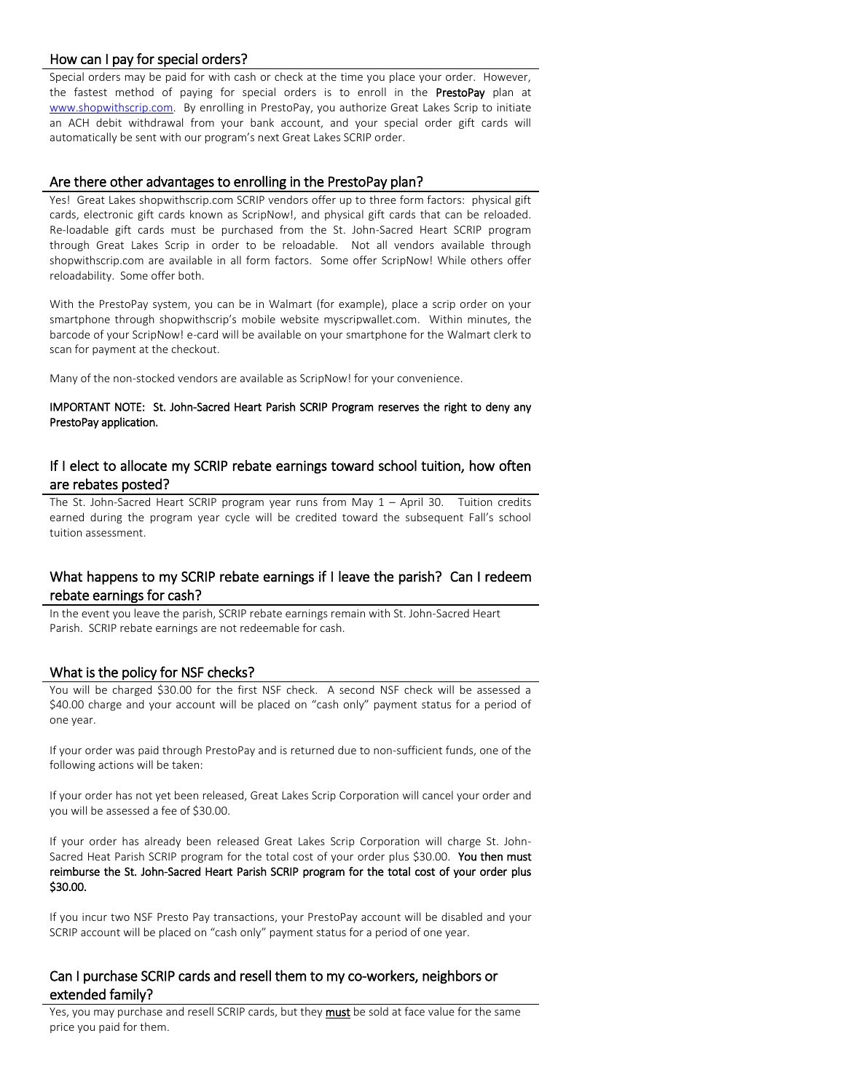## How can I pay for special orders?

Special orders may be paid for with cash or check at the time you place your order. However, the fastest method of paying for special orders is to enroll in the PrestoPay plan at [www.shopwithscrip.com.](http://www.shopwithscrip.com/) By enrolling in PrestoPay, you authorize Great Lakes Scrip to initiate an ACH debit withdrawal from your bank account, and your special order gift cards will automatically be sent with our program's next Great Lakes SCRIP order.

#### Are there other advantages to enrolling in the PrestoPay plan?

Yes! Great Lakes shopwithscrip.com SCRIP vendors offer up to three form factors: physical gift cards, electronic gift cards known as ScripNow!, and physical gift cards that can be reloaded. Re-loadable gift cards must be purchased from the St. John-Sacred Heart SCRIP program through Great Lakes Scrip in order to be reloadable. Not all vendors available through shopwithscrip.com are available in all form factors. Some offer ScripNow! While others offer reloadability. Some offer both.

With the PrestoPay system, you can be in Walmart (for example), place a scrip order on your smartphone through shopwithscrip's mobile website myscripwallet.com. Within minutes, the barcode of your ScripNow! e-card will be available on your smartphone for the Walmart clerk to scan for payment at the checkout.

Many of the non-stocked vendors are available as ScripNow! for your convenience.

#### IMPORTANT NOTE: St. John-Sacred Heart Parish SCRIP Program reserves the right to deny any PrestoPay application.

# If I elect to allocate my SCRIP rebate earnings toward school tuition, how often are rebates posted?

The St. John-Sacred Heart SCRIP program year runs from May 1 – April 30. Tuition credits earned during the program year cycle will be credited toward the subsequent Fall's school tuition assessment.

# What happens to my SCRIP rebate earnings if I leave the parish? Can I redeem rebate earnings for cash?

In the event you leave the parish, SCRIP rebate earnings remain with St. John-Sacred Heart Parish. SCRIP rebate earnings are not redeemable for cash.

#### What is the policy for NSF checks?

You will be charged \$30.00 for the first NSF check. A second NSF check will be assessed a \$40.00 charge and your account will be placed on "cash only" payment status for a period of one year.

If your order was paid through PrestoPay and is returned due to non-sufficient funds, one of the following actions will be taken:

If your order has not yet been released, Great Lakes Scrip Corporation will cancel your order and you will be assessed a fee of \$30.00.

If your order has already been released Great Lakes Scrip Corporation will charge St. John-Sacred Heat Parish SCRIP program for the total cost of your order plus \$30.00. You then must reimburse the St. John-Sacred Heart Parish SCRIP program for the total cost of your order plus \$30.00.

If you incur two NSF Presto Pay transactions, your PrestoPay account will be disabled and your SCRIP account will be placed on "cash only" payment status for a period of one year.

# Can I purchase SCRIP cards and resell them to my co-workers, neighbors or extended family?

Yes, you may purchase and resell SCRIP cards, but they **must** be sold at face value for the same price you paid for them.